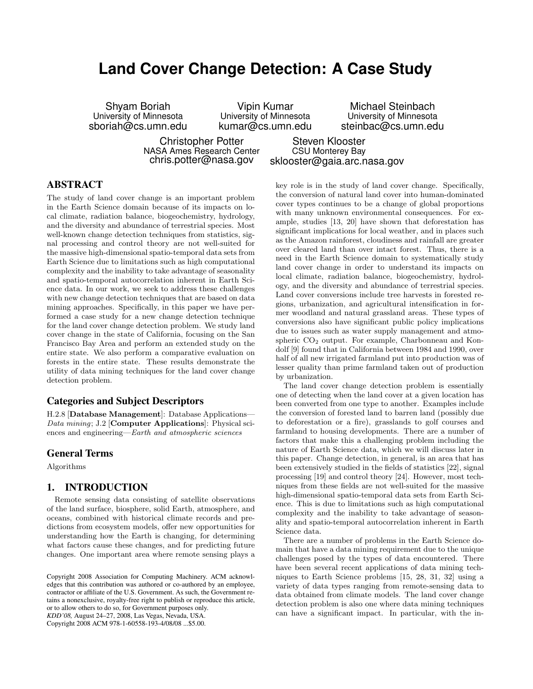# **Land Cover Change Detection: A Case Study**

Shyam Boriah University of Minnesota sboriah@cs.umn.edu

Vipin Kumar University of Minnesota kumar@cs.umn.edu

Michael Steinbach University of Minnesota steinbac@cs.umn.edu

Christopher Potter NASA Ames Research Center chris.potter@nasa.gov

Steven Klooster CSU Monterey Bay sklooster@gaia.arc.nasa.gov

## ABSTRACT

The study of land cover change is an important problem in the Earth Science domain because of its impacts on local climate, radiation balance, biogeochemistry, hydrology, and the diversity and abundance of terrestrial species. Most well-known change detection techniques from statistics, signal processing and control theory are not well-suited for the massive high-dimensional spatio-temporal data sets from Earth Science due to limitations such as high computational complexity and the inability to take advantage of seasonality and spatio-temporal autocorrelation inherent in Earth Science data. In our work, we seek to address these challenges with new change detection techniques that are based on data mining approaches. Specifically, in this paper we have performed a case study for a new change detection technique for the land cover change detection problem. We study land cover change in the state of California, focusing on the San Francisco Bay Area and perform an extended study on the entire state. We also perform a comparative evaluation on forests in the entire state. These results demonstrate the utility of data mining techniques for the land cover change detection problem.

## Categories and Subject Descriptors

H.2.8 [Database Management]: Database Applications— Data mining; J.2 [Computer Applications]: Physical sciences and engineering—Earth and atmospheric sciences

## General Terms

Algorithms

## 1. INTRODUCTION

Remote sensing data consisting of satellite observations of the land surface, biosphere, solid Earth, atmosphere, and oceans, combined with historical climate records and predictions from ecosystem models, offer new opportunities for understanding how the Earth is changing, for determining what factors cause these changes, and for predicting future changes. One important area where remote sensing plays a

Copyright 2008 ACM 978-1-60558-193-4/08/08 ...\$5.00.

key role is in the study of land cover change. Specifically, the conversion of natural land cover into human-dominated cover types continues to be a change of global proportions with many unknown environmental consequences. For example, studies [13, 20] have shown that deforestation has significant implications for local weather, and in places such as the Amazon rainforest, cloudiness and rainfall are greater over cleared land than over intact forest. Thus, there is a need in the Earth Science domain to systematically study land cover change in order to understand its impacts on local climate, radiation balance, biogeochemistry, hydrology, and the diversity and abundance of terrestrial species. Land cover conversions include tree harvests in forested regions, urbanization, and agricultural intensification in former woodland and natural grassland areas. These types of conversions also have significant public policy implications due to issues such as water supply management and atmospheric CO<sup>2</sup> output. For example, Charbonneau and Kondolf [9] found that in California between 1984 and 1990, over half of all new irrigated farmland put into production was of lesser quality than prime farmland taken out of production by urbanization.

The land cover change detection problem is essentially one of detecting when the land cover at a given location has been converted from one type to another. Examples include the conversion of forested land to barren land (possibly due to deforestation or a fire), grasslands to golf courses and farmland to housing developments. There are a number of factors that make this a challenging problem including the nature of Earth Science data, which we will discuss later in this paper. Change detection, in general, is an area that has been extensively studied in the fields of statistics [22], signal processing [19] and control theory [24]. However, most techniques from these fields are not well-suited for the massive high-dimensional spatio-temporal data sets from Earth Science. This is due to limitations such as high computational complexity and the inability to take advantage of seasonality and spatio-temporal autocorrelation inherent in Earth Science data.

There are a number of problems in the Earth Science domain that have a data mining requirement due to the unique challenges posed by the types of data encountered. There have been several recent applications of data mining techniques to Earth Science problems [15, 28, 31, 32] using a variety of data types ranging from remote-sensing data to data obtained from climate models. The land cover change detection problem is also one where data mining techniques can have a significant impact. In particular, with the in-

Copyright 2008 Association for Computing Machinery. ACM acknowledges that this contribution was authored or co-authored by an employee, contractor or affiliate of the U.S. Government. As such, the Government retains a nonexclusive, royalty-free right to publish or reproduce this article, or to allow others to do so, for Government purposes only. *KDD'08,* August 24–27, 2008, Las Vegas, Nevada, USA.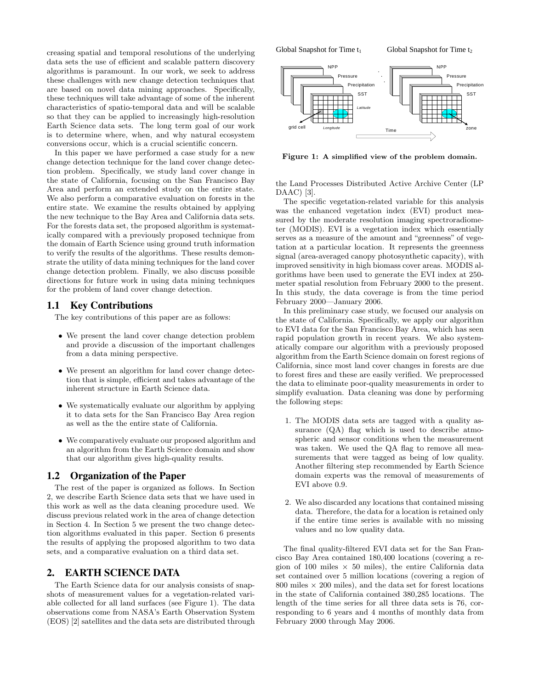creasing spatial and temporal resolutions of the underlying data sets the use of efficient and scalable pattern discovery algorithms is paramount. In our work, we seek to address these challenges with new change detection techniques that are based on novel data mining approaches. Specifically, these techniques will take advantage of some of the inherent characteristics of spatio-temporal data and will be scalable so that they can be applied to increasingly high-resolution Earth Science data sets. The long term goal of our work is to determine where, when, and why natural ecosystem conversions occur, which is a crucial scientific concern.

In this paper we have performed a case study for a new change detection technique for the land cover change detection problem. Specifically, we study land cover change in the state of California, focusing on the San Francisco Bay Area and perform an extended study on the entire state. We also perform a comparative evaluation on forests in the entire state. We examine the results obtained by applying the new technique to the Bay Area and California data sets. For the forests data set, the proposed algorithm is systematically compared with a previously proposed technique from the domain of Earth Science using ground truth information to verify the results of the algorithms. These results demonstrate the utility of data mining techniques for the land cover change detection problem. Finally, we also discuss possible directions for future work in using data mining techniques for the problem of land cover change detection.

#### 1.1 Key Contributions

The key contributions of this paper are as follows:

- We present the land cover change detection problem and provide a discussion of the important challenges from a data mining perspective.
- We present an algorithm for land cover change detection that is simple, efficient and takes advantage of the inherent structure in Earth Science data.
- We systematically evaluate our algorithm by applying it to data sets for the San Francisco Bay Area region as well as the the entire state of California.
- We comparatively evaluate our proposed algorithm and an algorithm from the Earth Science domain and show that our algorithm gives high-quality results.

#### 1.2 Organization of the Paper

The rest of the paper is organized as follows. In Section 2, we describe Earth Science data sets that we have used in this work as well as the data cleaning procedure used. We discuss previous related work in the area of change detection in Section 4. In Section 5 we present the two change detection algorithms evaluated in this paper. Section 6 presents the results of applying the proposed algorithm to two data sets, and a comparative evaluation on a third data set.

## 2. EARTH SCIENCE DATA

The Earth Science data for our analysis consists of snapshots of measurement values for a vegetation-related variable collected for all land surfaces (see Figure 1). The data observations come from NASA's Earth Observation System (EOS) [2] satellites and the data sets are distributed through

Global Snapshot for Time  $t_1$  Global Snapshot for Time  $t_2$ 



Figure 1: A simplified view of the problem domain.

the Land Processes Distributed Active Archive Center (LP DAAC) [3].

The specific vegetation-related variable for this analysis was the enhanced vegetation index (EVI) product measured by the moderate resolution imaging spectroradiometer (MODIS). EVI is a vegetation index which essentially serves as a measure of the amount and "greenness" of vegetation at a particular location. It represents the greenness signal (area-averaged canopy photosynthetic capacity), with improved sensitivity in high biomass cover areas. MODIS algorithms have been used to generate the EVI index at 250 meter spatial resolution from February 2000 to the present. In this study, the data coverage is from the time period February 2000—January 2006.

In this preliminary case study, we focused our analysis on the state of California. Specifically, we apply our algorithm to EVI data for the San Francisco Bay Area, which has seen rapid population growth in recent years. We also systematically compare our algorithm with a previously proposed algorithm from the Earth Science domain on forest regions of California, since most land cover changes in forests are due to forest fires and these are easily verified. We preprocessed the data to eliminate poor-quality measurements in order to simplify evaluation. Data cleaning was done by performing the following steps:

- 1. The MODIS data sets are tagged with a quality assurance  $(QA)$  flag which is used to describe atmospheric and sensor conditions when the measurement was taken. We used the QA flag to remove all measurements that were tagged as being of low quality. Another filtering step recommended by Earth Science domain experts was the removal of measurements of EVI above 0.9.
- 2. We also discarded any locations that contained missing data. Therefore, the data for a location is retained only if the entire time series is available with no missing values and no low quality data.

The final quality-filtered EVI data set for the San Francisco Bay Area contained 180,400 locations (covering a region of 100 miles  $\times$  50 miles), the entire California data set contained over 5 million locations (covering a region of 800 miles  $\times$  200 miles), and the data set for forest locations in the state of California contained 380,285 locations. The length of the time series for all three data sets is 76, corresponding to 6 years and 4 months of monthly data from February 2000 through May 2006.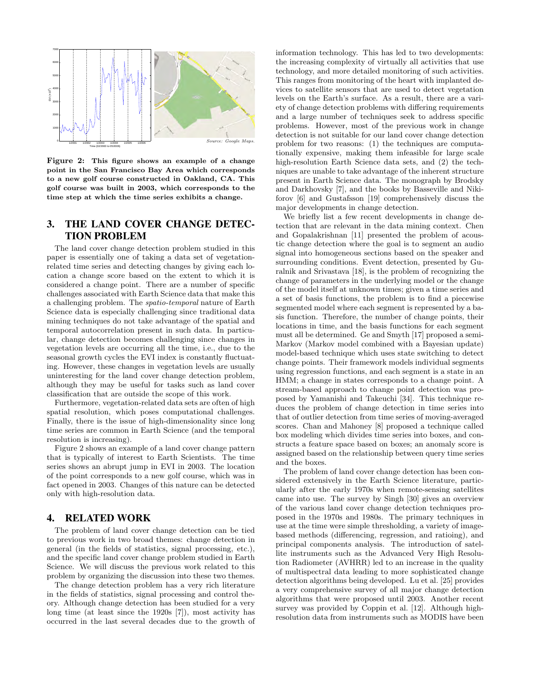

Figure 2: This figure shows an example of a change point in the San Francisco Bay Area which corresponds to a new golf course constructed in Oakland, CA. This golf course was built in 2003, which corresponds to the time step at which the time series exhibits a change.

# 3. THE LAND COVER CHANGE DETEC-TION PROBLEM

The land cover change detection problem studied in this paper is essentially one of taking a data set of vegetationrelated time series and detecting changes by giving each location a change score based on the extent to which it is considered a change point. There are a number of specific challenges associated with Earth Science data that make this a challenging problem. The spatio-temporal nature of Earth Science data is especially challenging since traditional data mining techniques do not take advantage of the spatial and temporal autocorrelation present in such data. In particular, change detection becomes challenging since changes in vegetation levels are occurring all the time, i.e., due to the seasonal growth cycles the EVI index is constantly fluctuating. However, these changes in vegetation levels are usually uninteresting for the land cover change detection problem, although they may be useful for tasks such as land cover classification that are outside the scope of this work.

Furthermore, vegetation-related data sets are often of high spatial resolution, which poses computational challenges. Finally, there is the issue of high-dimensionality since long time series are common in Earth Science (and the temporal resolution is increasing).

Figure 2 shows an example of a land cover change pattern that is typically of interest to Earth Scientists. The time series shows an abrupt jump in EVI in 2003. The location of the point corresponds to a new golf course, which was in fact opened in 2003. Changes of this nature can be detected only with high-resolution data.

#### 4. RELATED WORK

The problem of land cover change detection can be tied to previous work in two broad themes: change detection in general (in the fields of statistics, signal processing, etc.), and the specific land cover change problem studied in Earth Science. We will discuss the previous work related to this problem by organizing the discussion into these two themes.

The change detection problem has a very rich literature in the fields of statistics, signal processing and control theory. Although change detection has been studied for a very long time (at least since the 1920s [7]), most activity has occurred in the last several decades due to the growth of information technology. This has led to two developments: the increasing complexity of virtually all activities that use technology, and more detailed monitoring of such activities. This ranges from monitoring of the heart with implanted devices to satellite sensors that are used to detect vegetation levels on the Earth's surface. As a result, there are a variety of change detection problems with differing requirements and a large number of techniques seek to address specific problems. However, most of the previous work in change detection is not suitable for our land cover change detection problem for two reasons: (1) the techniques are computationally expensive, making them infeasible for large scale high-resolution Earth Science data sets, and (2) the techniques are unable to take advantage of the inherent structure present in Earth Science data. The monograph by Brodsky and Darkhovsky [7], and the books by Basseville and Nikiforov [6] and Gustafsson [19] comprehensively discuss the major developments in change detection.

We briefly list a few recent developments in change detection that are relevant in the data mining context. Chen and Gopalakrishnan [11] presented the problem of acoustic change detection where the goal is to segment an audio signal into homogeneous sections based on the speaker and surrounding conditions. Event detection, presented by Guralnik and Srivastava [18], is the problem of recognizing the change of parameters in the underlying model or the change of the model itself at unknown times; given a time series and a set of basis functions, the problem is to find a piecewise segmented model where each segment is represented by a basis function. Therefore, the number of change points, their locations in time, and the basis functions for each segment must all be determined. Ge and Smyth [17] proposed a semi-Markov (Markov model combined with a Bayesian update) model-based technique which uses state switching to detect change points. Their framework models individual segments using regression functions, and each segment is a state in an HMM; a change in states corresponds to a change point. A stream-based approach to change point detection was proposed by Yamanishi and Takeuchi [34]. This technique reduces the problem of change detection in time series into that of outlier detection from time series of moving-averaged scores. Chan and Mahoney [8] proposed a technique called box modeling which divides time series into boxes, and constructs a feature space based on boxes; an anomaly score is assigned based on the relationship between query time series and the boxes.

The problem of land cover change detection has been considered extensively in the Earth Science literature, particularly after the early 1970s when remote-sensing satellites came into use. The survey by Singh [30] gives an overview of the various land cover change detection techniques proposed in the 1970s and 1980s. The primary techniques in use at the time were simple thresholding, a variety of imagebased methods (differencing, regression, and ratioing), and principal components analysis. The introduction of satellite instruments such as the Advanced Very High Resolution Radiometer (AVHRR) led to an increase in the quality of multispectral data leading to more sophisticated change detection algorithms being developed. Lu et al. [25] provides a very comprehensive survey of all major change detection algorithms that were proposed until 2003. Another recent survey was provided by Coppin et al. [12]. Although highresolution data from instruments such as MODIS have been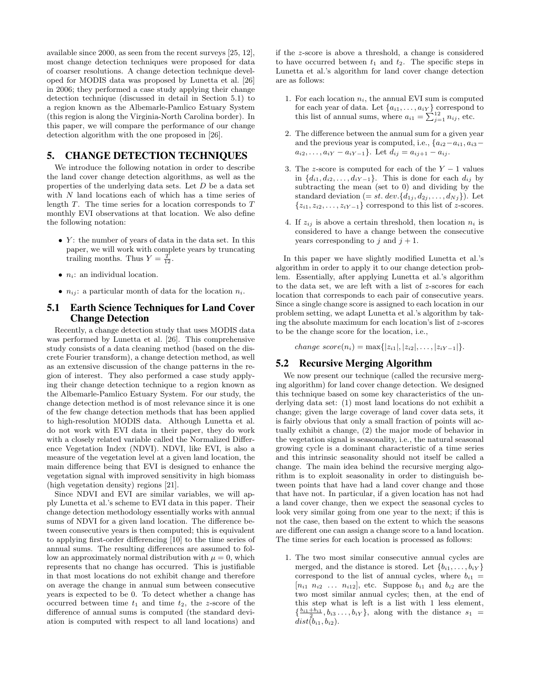available since 2000, as seen from the recent surveys [25, 12], most change detection techniques were proposed for data of coarser resolutions. A change detection technique developed for MODIS data was proposed by Lunetta et al. [26] in 2006; they performed a case study applying their change detection technique (discussed in detail in Section 5.1) to a region known as the Albemarle-Pamlico Estuary System (this region is along the Virginia-North Carolina border). In this paper, we will compare the performance of our change detection algorithm with the one proposed in [26].

## 5. CHANGE DETECTION TECHNIQUES

We introduce the following notation in order to describe the land cover change detection algorithms, as well as the properties of the underlying data sets. Let D be a data set with  $N$  land locations each of which has a time series of length T. The time series for a location corresponds to T monthly EVI observations at that location. We also define the following notation:

- $\bullet$  Y: the number of years of data in the data set. In this paper, we will work with complete years by truncating trailing months. Thus  $Y = \frac{T}{12}$ .
- $n_i$ : an individual location.
- $n_{ij}$ : a particular month of data for the location  $n_i$ .

## 5.1 Earth Science Techniques for Land Cover Change Detection

Recently, a change detection study that uses MODIS data was performed by Lunetta et al. [26]. This comprehensive study consists of a data cleaning method (based on the discrete Fourier transform), a change detection method, as well as an extensive discussion of the change patterns in the region of interest. They also performed a case study applying their change detection technique to a region known as the Albemarle-Pamlico Estuary System. For our study, the change detection method is of most relevance since it is one of the few change detection methods that has been applied to high-resolution MODIS data. Although Lunetta et al. do not work with EVI data in their paper, they do work with a closely related variable called the Normalized Difference Vegetation Index (NDVI). NDVI, like EVI, is also a measure of the vegetation level at a given land location, the main difference being that EVI is designed to enhance the vegetation signal with improved sensitivity in high biomass (high vegetation density) regions [21].

Since NDVI and EVI are similar variables, we will apply Lunetta et al.'s scheme to EVI data in this paper. Their change detection methodology essentially works with annual sums of NDVI for a given land location. The difference between consecutive years is then computed; this is equivalent to applying first-order differencing [10] to the time series of annual sums. The resulting differences are assumed to follow an approximately normal distribution with  $\mu = 0$ , which represents that no change has occurred. This is justifiable in that most locations do not exhibit change and therefore on average the change in annual sum between consecutive years is expected to be 0. To detect whether a change has occurred between time  $t_1$  and time  $t_2$ , the z-score of the difference of annual sums is computed (the standard deviation is computed with respect to all land locations) and

if the z-score is above a threshold, a change is considered to have occurred between  $t_1$  and  $t_2$ . The specific steps in Lunetta et al.'s algorithm for land cover change detection are as follows:

- 1. For each location  $n_i$ , the annual EVI sum is computed for each year of data. Let  $\{a_{i1}, \ldots, a_{iY}\}$  correspond to this list of annual sums, where  $a_{i1} = \sum_{j=1}^{12} n_{ij}$ , etc.
- 2. The difference between the annual sum for a given year and the previous year is computed, i.e.,  $\{a_{i2}-a_{i1}, a_{i3}-a_{i2}\}$  $a_{i2}, \ldots, a_{iY} - a_{iY-1}$ . Let  $d_{ij} = a_{ij+1} - a_{ij}$ .
- 3. The z-score is computed for each of the  $Y 1$  values in  $\{d_{i1}, d_{i2}, \ldots, d_{iY-1}\}.$  This is done for each  $d_{ij}$  by subtracting the mean (set to 0) and dividing by the standard deviation (= st. dev. { $d_{1j}, d_{2j}, \ldots, d_{Nj}$ }). Let  $\{z_{i1}, z_{i2}, \ldots, z_{iY-1}\}$  correspond to this list of z-scores.
- 4. If  $z_{ij}$  is above a certain threshold, then location  $n_i$  is considered to have a change between the consecutive years corresponding to j and  $j + 1$ .

In this paper we have slightly modified Lunetta et al.'s algorithm in order to apply it to our change detection problem. Essentially, after applying Lunetta et al.'s algorithm to the data set, we are left with a list of z-scores for each location that corresponds to each pair of consecutive years. Since a single change score is assigned to each location in our problem setting, we adapt Lunetta et al.'s algorithm by taking the absolute maximum for each location's list of z-scores to be the change score for the location, i.e.,

change  $score(n_i) = \max\{|z_{i1}|, |z_{i2}|, \ldots, |z_{iY-1}|\}.$ 

## 5.2 Recursive Merging Algorithm

We now present our technique (called the recursive merging algorithm) for land cover change detection. We designed this technique based on some key characteristics of the underlying data set: (1) most land locations do not exhibit a change; given the large coverage of land cover data sets, it is fairly obvious that only a small fraction of points will actually exhibit a change, (2) the major mode of behavior in the vegetation signal is seasonality, i.e., the natural seasonal growing cycle is a dominant characteristic of a time series and this intrinsic seasonality should not itself be called a change. The main idea behind the recursive merging algorithm is to exploit seasonality in order to distinguish between points that have had a land cover change and those that have not. In particular, if a given location has not had a land cover change, then we expect the seasonal cycles to look very similar going from one year to the next; if this is not the case, then based on the extent to which the seasons are different one can assign a change score to a land location. The time series for each location is processed as follows:

1. The two most similar consecutive annual cycles are merged, and the distance is stored. Let  $\{b_{i1}, \ldots, b_{iY}\}\$ correspond to the list of annual cycles, where  $b_{i1}$  =  $[n_{i1} \ n_{i2} \ \ldots \ n_{i12}]$ , etc. Suppose  $b_{i1}$  and  $b_{i2}$  are the two most similar annual cycles; then, at the end of this step what is left is a list with 1 less element,  $\{\frac{b_{i1}+b_{i1}}{2},b_{i3}\ldots,b_{iY}\}\text{, along with the distance }s_1=$  $dist(b_{i1}, b_{i2}).$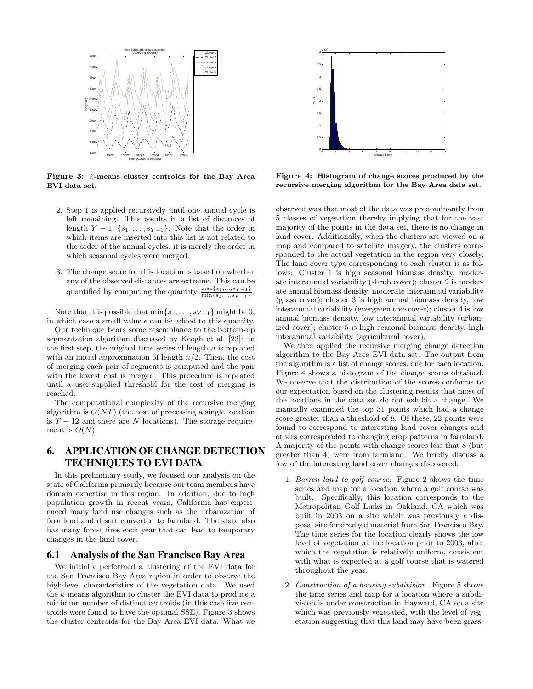

Figure 3: k-means cluster centroids for the Bay Area EVI data set.

- 2. Step 1 is applied recursively until one annual cycle is left remaining. This results in a list of distances of length  $Y - 1$ ,  $\{s_1, \ldots, s_{Y-1}\}$ . Note that the order in which items are inserted into this list is not related to the order of the annual cycles, it is merely the order in which seasonal cycles were merged.
- 3. The change score for this location is based on whether any of the observed distances are extreme. This can be quantified by computing the quantity  $\frac{\max\{s_1,...,s_{Y-1}\}}{\min\{s_1,...,s_{Y-1}\}}$ .

Note that it is possible that  $\min\{s_1, \ldots, s_{Y-1}\}\$  might be 0, in which case a small value  $\epsilon$  can be added to this quantity.

Our technique bears some resemblance to the bottom-up segmentation algorithm discussed by Keogh et al. [23]: in the first step, the original time series of length  $n$  is replaced with an initial approximation of length  $n/2$ . Then, the cost of merging each pair of segments is computed and the pair with the lowest cost is merged. This procedure is repeated until a user-supplied threshold for the cost of merging is reached.

The computational complexity of the recursive merging algorithm is  $O(NT)$  (the cost of processing a single location is  $T - 12$  and there are N locations). The storage requirement is  $O(N)$ .

# 6. APPLICATION OF CHANGE DETECTION TECHNIQUES TO EVI DATA

In this preliminary study, we focused our analysis on the state of California primarily because our team members have domain expertise in this region. In addition, due to high population growth in recent years, California has experienced many land use changes such as the urbanization of farmland and desert converted to farmland. The state also has many forest fires each year that can lead to temporary changes in the land cover.

#### 6.1 Analysis of the San Francisco Bay Area

We initially performed a clustering of the EVI data for the San Francisco Bay Area region in order to observe the high-level characteristics of the vegetation data. We used the k-means algorithm to cluster the EVI data to produce a minimum number of distinct centroids (in this case five centroids were found to have the optimal SSE). Figure 3 shows the cluster centroids for the Bay Area EVI data. What we



Figure 4: Histogram of change scores produced by the recursive merging algorithm for the Bay Area data set.

observed was that most of the data was predominantly from 5 classes of vegetation thereby implying that for the vast majority of the points in the data set, there is no change in land cover. Additionally, when the clusters are viewed on a map and compared to satellite imagery, the clusters corresponded to the actual vegetation in the region very closely. The land cover type corresponding to each cluster is as follows: Cluster 1 is high seasonal biomass density, moderate interannual variability (shrub cover); cluster 2 is moderate annual biomass density, moderate interannual variability (grass cover); cluster 3 is high annual biomass density, low interannual variability (evergreen tree cover); cluster 4 is low annual biomass density, low interannual variability (urbanized cover); cluster 5 is high seasonal biomass density, high interannual variability (agricultural cover).

We then applied the recursive merging change detection algorithm to the Bay Area EVI data set. The output from the algorithm is a list of change scores, one for each location. Figure 4 shows a histogram of the change scores obtained. We observe that the distribution of the scores conforms to our expectation based on the clustering results that most of the locations in the data set do not exhibit a change. We manually examined the top 31 points which had a change score greater than a threshold of 8. Of these, 22 points were found to correspond to interesting land cover changes and others corresponded to changing crop patterns in farmland. A majority of the points with change scores less that 8 (but greater than 4) were from farmland. We briefly discuss a few of the interesting land cover changes discovered:

- 1. Barren land to golf course. Figure 2 shows the time series and map for a location where a golf course was built. Specifically, this location corresponds to the Metropolitan Golf Links in Oakland, CA which was built in 2003 on a site which was previously a disposal site for dredged material from San Francisco Bay. The time series for the location clearly shows the low level of vegetation at the location prior to 2003, after which the vegetation is relatively uniform, consistent with what is expected at a golf course that is watered throughout the year.
- 2. Construction of a housing subdivision. Figure 5 shows the time series and map for a location where a subdivision is under construction in Hayward, CA on a site which was previously vegetated, with the level of vegetation suggesting that this land may have been grass-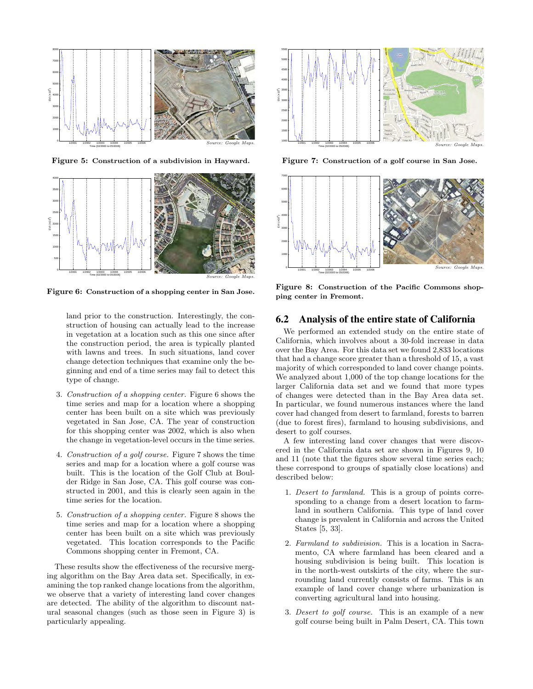

Figure 5: Construction of a subdivision in Hayward.



Figure 6: Construction of a shopping center in San Jose.

land prior to the construction. Interestingly, the construction of housing can actually lead to the increase in vegetation at a location such as this one since after the construction period, the area is typically planted with lawns and trees. In such situations, land cover change detection techniques that examine only the beginning and end of a time series may fail to detect this type of change.

- 3. Construction of a shopping center. Figure 6 shows the time series and map for a location where a shopping center has been built on a site which was previously vegetated in San Jose, CA. The year of construction for this shopping center was 2002, which is also when the change in vegetation-level occurs in the time series.
- 4. Construction of a golf course. Figure 7 shows the time series and map for a location where a golf course was built. This is the location of the Golf Club at Boulder Ridge in San Jose, CA. This golf course was constructed in 2001, and this is clearly seen again in the time series for the location.
- 5. Construction of a shopping center. Figure 8 shows the time series and map for a location where a shopping center has been built on a site which was previously vegetated. This location corresponds to the Pacific Commons shopping center in Fremont, CA.

These results show the effectiveness of the recursive merging algorithm on the Bay Area data set. Specifically, in examining the top ranked change locations from the algorithm, we observe that a variety of interesting land cover changes are detected. The ability of the algorithm to discount natural seasonal changes (such as those seen in Figure 3) is particularly appealing.



Figure 7: Construction of a golf course in San Jose.



Figure 8: Construction of the Pacific Commons shopping center in Fremont.

#### 6.2 Analysis of the entire state of California

We performed an extended study on the entire state of California, which involves about a 30-fold increase in data over the Bay Area. For this data set we found 2,833 locations that had a change score greater than a threshold of 15, a vast majority of which corresponded to land cover change points. We analyzed about 1,000 of the top change locations for the larger California data set and we found that more types of changes were detected than in the Bay Area data set. In particular, we found numerous instances where the land cover had changed from desert to farmland, forests to barren (due to forest fires), farmland to housing subdivisions, and desert to golf courses.

A few interesting land cover changes that were discovered in the California data set are shown in Figures 9, 10 and 11 (note that the figures show several time series each; these correspond to groups of spatially close locations) and described below:

- 1. Desert to farmland. This is a group of points corresponding to a change from a desert location to farmland in southern California. This type of land cover change is prevalent in California and across the United States [5, 33].
- 2. Farmland to subdivision. This is a location in Sacramento, CA where farmland has been cleared and a housing subdivision is being built. This location is in the north-west outskirts of the city, where the surrounding land currently consists of farms. This is an example of land cover change where urbanization is converting agricultural land into housing.
- 3. Desert to golf course. This is an example of a new golf course being built in Palm Desert, CA. This town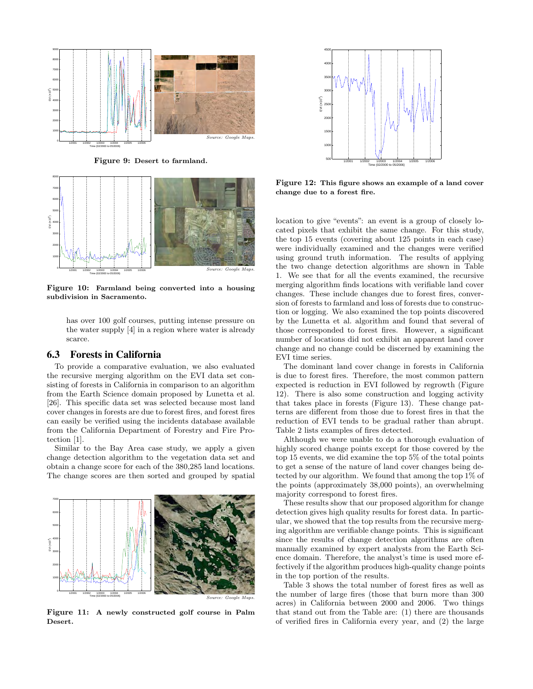

Figure 9: Desert to farmland.



Figure 10: Farmland being converted into a housing subdivision in Sacramento.

has over 100 golf courses, putting intense pressure on the water supply [4] in a region where water is already scarce.

#### 6.3 Forests in California

To provide a comparative evaluation, we also evaluated the recursive merging algorithm on the EVI data set consisting of forests in California in comparison to an algorithm from the Earth Science domain proposed by Lunetta et al. [26]. This specific data set was selected because most land cover changes in forests are due to forest fires, and forest fires can easily be verified using the incidents database available from the California Department of Forestry and Fire Protection [1].

Similar to the Bay Area case study, we apply a given change detection algorithm to the vegetation data set and obtain a change score for each of the 380,285 land locations. The change scores are then sorted and grouped by spatial



Figure 11: A newly constructed golf course in Palm Desert.



Figure 12: This figure shows an example of a land cover change due to a forest fire.

location to give "events": an event is a group of closely located pixels that exhibit the same change. For this study, the top 15 events (covering about 125 points in each case) were individually examined and the changes were verified using ground truth information. The results of applying the two change detection algorithms are shown in Table 1. We see that for all the events examined, the recursive merging algorithm finds locations with verifiable land cover changes. These include changes due to forest fires, conversion of forests to farmland and loss of forests due to construction or logging. We also examined the top points discovered by the Lunetta et al. algorithm and found that several of those corresponded to forest fires. However, a significant number of locations did not exhibit an apparent land cover change and no change could be discerned by examining the EVI time series.

The dominant land cover change in forests in California is due to forest fires. Therefore, the most common pattern expected is reduction in EVI followed by regrowth (Figure 12). There is also some construction and logging activity that takes place in forests (Figure 13). These change patterns are different from those due to forest fires in that the reduction of EVI tends to be gradual rather than abrupt. Table 2 lists examples of fires detected.

Although we were unable to do a thorough evaluation of highly scored change points except for those covered by the top 15 events, we did examine the top 5% of the total points to get a sense of the nature of land cover changes being detected by our algorithm. We found that among the top 1% of the points (approximately 38,000 points), an overwhelming majority correspond to forest fires.

These results show that our proposed algorithm for change detection gives high quality results for forest data. In particular, we showed that the top results from the recursive merging algorithm are verifiable change points. This is significant since the results of change detection algorithms are often manually examined by expert analysts from the Earth Science domain. Therefore, the analyst's time is used more effectively if the algorithm produces high-quality change points in the top portion of the results.

Table 3 shows the total number of forest fires as well as the number of large fires (those that burn more than 300 acres) in California between 2000 and 2006. Two things that stand out from the Table are: (1) there are thousands of verified fires in California every year, and (2) the large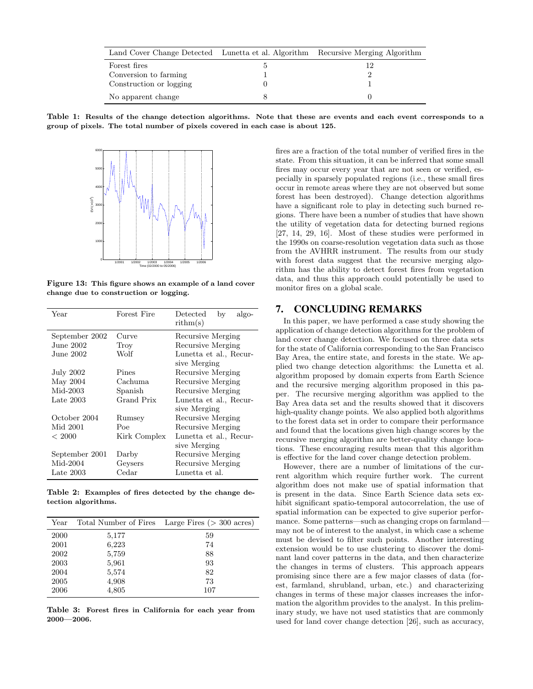| Land Cover Change Detected Lunetta et al. Algorithm Recursive Merging Algorithm |  |
|---------------------------------------------------------------------------------|--|
| Forest fires                                                                    |  |
| Conversion to farming                                                           |  |
| Construction or logging                                                         |  |
| No apparent change                                                              |  |

Table 1: Results of the change detection algorithms. Note that these are events and each event corresponds to a group of pixels. The total number of pixels covered in each case is about 125.



Figure 13: This figure shows an example of a land cover change due to construction or logging.

| Year           | Forest Fire  | Detected<br>algo-<br>by<br>rithm(s) |
|----------------|--------------|-------------------------------------|
| September 2002 | Curve        | Recursive Merging                   |
| June $2002$    | Troy         | Recursive Merging                   |
| June $2002$    | Wolf         | Lunetta et al., Recur-              |
|                |              | sive Merging                        |
| July 2002      | Pines        | Recursive Merging                   |
| May 2004       | Cachuma      | Recursive Merging                   |
| Mid-2003       | Spanish      | Recursive Merging                   |
| Late $2003$    | Grand Prix   | Lunetta et al., Recur-              |
|                |              | sive Merging                        |
| October 2004   | Rumsey       | Recursive Merging                   |
| Mid 2001       | Poe          | Recursive Merging                   |
| ${}< 2000$     | Kirk Complex | Lunetta et al., Recur-              |
|                |              | sive Merging                        |
| September 2001 | Darby        | Recursive Merging                   |
| Mid-2004       | Geysers      | Recursive Merging                   |
| Late $2003$    | Cedar        | Lunetta et al.                      |

Table 2: Examples of fires detected by the change detection algorithms.

| Year | Total Number of Fires | Large Fires $(>300 \text{ acres})$ |
|------|-----------------------|------------------------------------|
| 2000 | 5,177                 | 59                                 |
| 2001 | 6,223                 | 74                                 |
| 2002 | 5,759                 | 88                                 |
| 2003 | 5,961                 | 93                                 |
| 2004 | 5,574                 | 82                                 |
| 2005 | 4,908                 | 73                                 |
| 2006 | 4,805                 | 107                                |

Table 3: Forest fires in California for each year from 2000—2006.

fires are a fraction of the total number of verified fires in the state. From this situation, it can be inferred that some small fires may occur every year that are not seen or verified, especially in sparsely populated regions (i.e., these small fires occur in remote areas where they are not observed but some forest has been destroyed). Change detection algorithms have a significant role to play in detecting such burned regions. There have been a number of studies that have shown the utility of vegetation data for detecting burned regions [27, 14, 29, 16]. Most of these studies were performed in the 1990s on coarse-resolution vegetation data such as those from the AVHRR instrument. The results from our study with forest data suggest that the recursive merging algorithm has the ability to detect forest fires from vegetation data, and thus this approach could potentially be used to monitor fires on a global scale.

## 7. CONCLUDING REMARKS

In this paper, we have performed a case study showing the application of change detection algorithms for the problem of land cover change detection. We focused on three data sets for the state of California corresponding to the San Francisco Bay Area, the entire state, and forests in the state. We applied two change detection algorithms: the Lunetta et al. algorithm proposed by domain experts from Earth Science and the recursive merging algorithm proposed in this paper. The recursive merging algorithm was applied to the Bay Area data set and the results showed that it discovers high-quality change points. We also applied both algorithms to the forest data set in order to compare their performance and found that the locations given high change scores by the recursive merging algorithm are better-quality change locations. These encouraging results mean that this algorithm is effective for the land cover change detection problem.

However, there are a number of limitations of the current algorithm which require further work. The current algorithm does not make use of spatial information that is present in the data. Since Earth Science data sets exhibit significant spatio-temporal autocorrelation, the use of spatial information can be expected to give superior performance. Some patterns—such as changing crops on farmland may not be of interest to the analyst, in which case a scheme must be devised to filter such points. Another interesting extension would be to use clustering to discover the dominant land cover patterns in the data, and then characterize the changes in terms of clusters. This approach appears promising since there are a few major classes of data (forest, farmland, shrubland, urban, etc.) and characterizing changes in terms of these major classes increases the information the algorithm provides to the analyst. In this preliminary study, we have not used statistics that are commonly used for land cover change detection [26], such as accuracy,